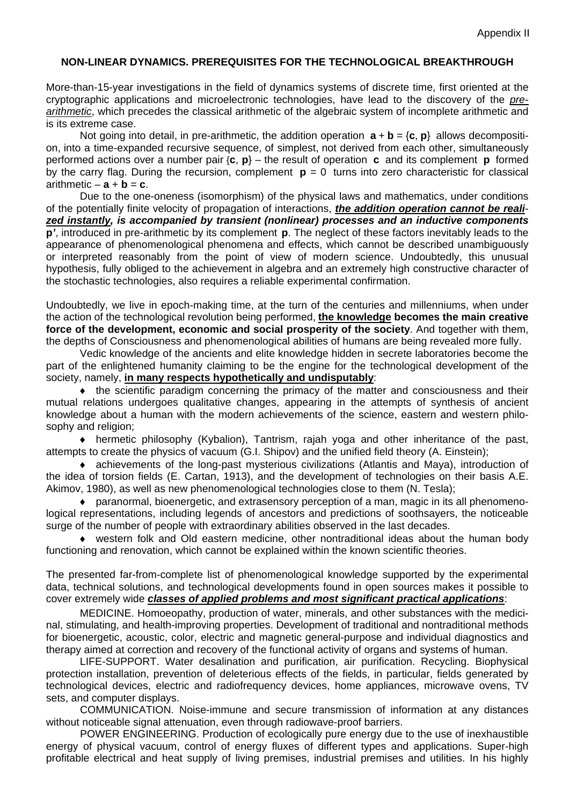## **NON-LINEAR DYNAMICS. PREREQUISITES FOR THE TECHNOLOGICAL BREAKTHROUGH**

More-than-15-year investigations in the field of dynamics systems of discrete time, first oriented at the cryptographic applications and microelectronic technologies, have lead to the discovery of the *prearithmetic*, which precedes the classical arithmetic of the algebraic system of incomplete arithmetic and is its extreme case.

Not going into detail, in pre-arithmetic, the addition operation  $\mathbf{a} + \mathbf{b} = \{\mathbf{c}, \mathbf{p}\}\$ allows decomposition, into a time-expanded recursive sequence, of simplest, not derived from each other, simultaneously performed actions over a number pair {**c**, **p**} – the result of operation **c** and its complement **p** formed by the carry flag. During the recursion, complement  $p = 0$  turns into zero characteristic for classical arithmetic  $-\mathbf{a} + \mathbf{b} = \mathbf{c}$ .

Due to the one-oneness (isomorphism) of the physical laws and mathematics, under conditions of the potentially finite velocity of propagation of interactions, *the addition operation cannot be realized instantly, is accompanied by transient (nonlinear) processes and an inductive components*  **p***'*, introduced in pre-arithmetic by its complement **p**. The neglect of these factors inevitably leads to the appearance of phenomenological phenomena and effects, which cannot be described unambiguously or interpreted reasonably from the point of view of modern science. Undoubtedly, this unusual hypothesis, fully obliged to the achievement in algebra and an extremely high constructive character of the stochastic technologies, also requires a reliable experimental confirmation.

Undoubtedly, we live in epoch-making time, at the turn of the centuries and millenniums, when under the action of the technological revolution being performed, **the knowledge becomes the main creative force of the development, economic and social prosperity of the society**. And together with them, the depths of Consciousness and phenomenological abilities of humans are being revealed more fully.

Vedic knowledge of the ancients and elite knowledge hidden in secrete laboratories become the part of the enlightened humanity claiming to be the engine for the technological development of the society, namely, **in many respects hypothetically and undisputably**:

♦ the scientific paradigm concerning the primacy of the matter and consciousness and their mutual relations undergoes qualitative changes, appearing in the attempts of synthesis of ancient knowledge about a human with the modern achievements of the science, eastern and western philosophy and religion;

♦ hermetic philosophy (Kybalion), Tantrism, rajah yoga and other inheritance of the past, attempts to create the physics of vacuum (G.I. Shipov) and the unified field theory (A. Einstein);

♦ achievements of the long-past mysterious civilizations (Atlantis and Maya), introduction of the idea of torsion fields (E. Cartan, 1913), and the development of technologies on their basis A.E. Akimov, 1980), as well as new phenomenological technologies close to them (N. Tesla);

♦ paranormal, bioenergetic, and extrasensory perception of a man, magic in its all phenomenological representations, including legends of ancestors and predictions of soothsayers, the noticeable surge of the number of people with extraordinary abilities observed in the last decades.

♦ western folk and Old eastern medicine, other nontraditional ideas about the human body functioning and renovation, which cannot be explained within the known scientific theories.

The presented far-from-complete list of phenomenological knowledge supported by the experimental data, technical solutions, and technological developments found in open sources makes it possible to cover extremely wide *classes of applied problems and most significant practical applications*:

MEDICINE. Homoeopathy, production of water, minerals, and other substances with the medicinal, stimulating, and health-improving properties. Development of traditional and nontraditional methods for bioenergetic, acoustic, color, electric and magnetic general-purpose and individual diagnostics and therapy aimed at correction and recovery of the functional activity of organs and systems of human.

LIFE-SUPPORT. Water desalination and purification, air purification. Recycling. Biophysical protection installation, prevention of deleterious effects of the fields, in particular, fields generated by technological devices, electric and radiofrequency devices, home appliances, microwave ovens, TV sets, and computer displays.

COMMUNICATION. Noise-immune and secure transmission of information at any distances without noticeable signal attenuation, even through radiowave-proof barriers.

POWER ENGINEERING. Production of ecologically pure energy due to the use of inexhaustible energy of physical vacuum, control of energy fluxes of different types and applications. Super-high profitable electrical and heat supply of living premises, industrial premises and utilities. In his highly